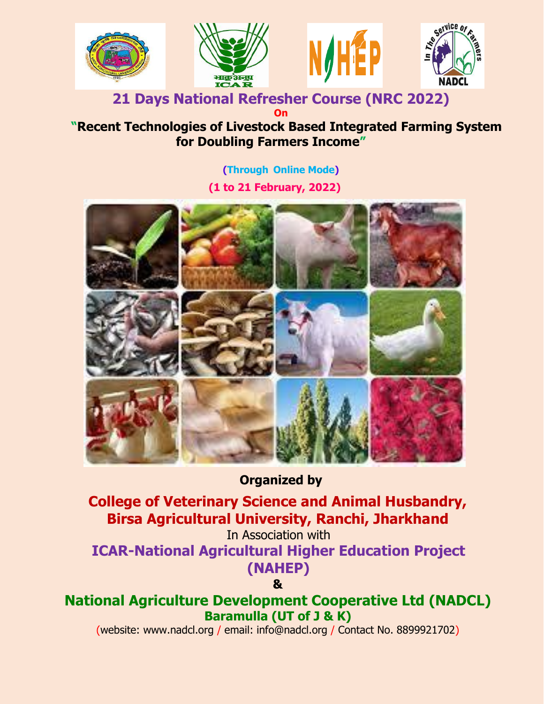

#### **21 Days National Refresher Course (NRC 2022) On**

# **"Recent Technologies of Livestock Based Integrated Farming System for Doubling Farmers Income"**

**(Through Online Mode)**

**(1 to 21 February, 2022)**



# **Organized by**

**College of Veterinary Science and Animal Husbandry, Birsa Agricultural University, Ranchi, Jharkhand**

In Association with

**ICAR-National Agricultural Higher Education Project (NAHEP)**

**&**

**National Agriculture Development Cooperative Ltd (NADCL) Baramulla (UT of J & K)**

(website: www.nadcl.org / email: info@nadcl.org / Contact No. 8899921702)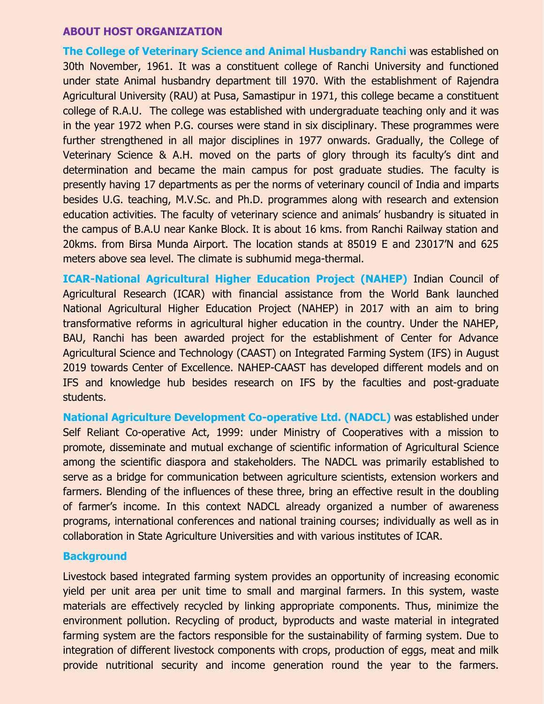#### **ABOUT HOST ORGANIZATION**

**The College of Veterinary Science and Animal Husbandry Ranchi** was established on 30th November, 1961. It was a constituent college of Ranchi University and functioned under state Animal husbandry department till 1970. With the establishment of Rajendra Agricultural University (RAU) at Pusa, Samastipur in 1971, this college became a constituent college of R.A.U. The college was established with undergraduate teaching only and it was in the year 1972 when P.G. courses were stand in six disciplinary. These programmes were further strengthened in all major disciplines in 1977 onwards. Gradually, the College of Veterinary Science & A.H. moved on the parts of glory through its faculty's dint and determination and became the main campus for post graduate studies. The faculty is presently having 17 departments as per the norms of veterinary council of India and imparts besides U.G. teaching, M.V.Sc. and Ph.D. programmes along with research and extension education activities. The faculty of veterinary science and animals' husbandry is situated in the campus of B.A.U near Kanke Block. It is about 16 kms. from Ranchi Railway station and 20kms. from Birsa Munda Airport. The location stands at 85019 E and 23017'N and 625 meters above sea level. The climate is subhumid mega-thermal.

**ICAR-National Agricultural Higher Education Project (NAHEP)** Indian Council of Agricultural Research (ICAR) with financial assistance from the World Bank launched National Agricultural Higher Education Project (NAHEP) in 2017 with an aim to bring transformative reforms in agricultural higher education in the country. Under the NAHEP, BAU, Ranchi has been awarded project for the establishment of Center for Advance Agricultural Science and Technology (CAAST) on Integrated Farming System (IFS) in August 2019 towards Center of Excellence. NAHEP-CAAST has developed different models and on IFS and knowledge hub besides research on IFS by the faculties and post-graduate students.

**National Agriculture Development Co-operative Ltd. (NADCL)** was established under Self Reliant Co-operative Act, 1999: under Ministry of Cooperatives with a mission to promote, disseminate and mutual exchange of scientific information of Agricultural Science among the scientific diaspora and stakeholders. The NADCL was primarily established to serve as a bridge for communication between agriculture scientists, extension workers and farmers. Blending of the influences of these three, bring an effective result in the doubling of farmer's income. In this context NADCL already organized a number of awareness programs, international conferences and national training courses; individually as well as in collaboration in State Agriculture Universities and with various institutes of ICAR.

#### **Background**

Livestock based integrated farming system provides an opportunity of increasing economic yield per unit area per unit time to small and marginal farmers. In this system, waste materials are effectively recycled by linking appropriate components. Thus, minimize the environment pollution. Recycling of product, byproducts and waste material in integrated farming system are the factors responsible for the sustainability of farming system. Due to integration of different livestock components with crops, production of eggs, meat and milk provide nutritional security and income generation round the year to the farmers.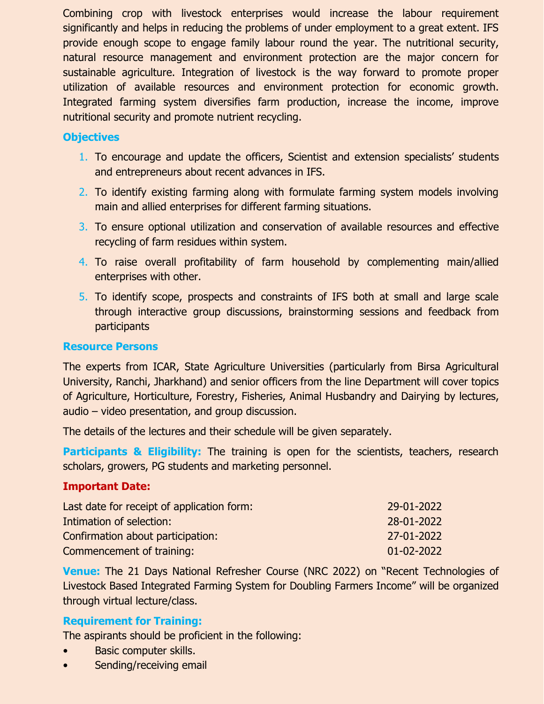Combining crop with livestock enterprises would increase the labour requirement significantly and helps in reducing the problems of under employment to a great extent. IFS provide enough scope to engage family labour round the year. The nutritional security, natural resource management and environment protection are the major concern for sustainable agriculture. Integration of livestock is the way forward to promote proper utilization of available resources and environment protection for economic growth. Integrated farming system diversifies farm production, increase the income, improve nutritional security and promote nutrient recycling.

## **Objectives**

- 1. To encourage and update the officers, Scientist and extension specialists' students and entrepreneurs about recent advances in IFS.
- 2. To identify existing farming along with formulate farming system models involving main and allied enterprises for different farming situations.
- 3. To ensure optional utilization and conservation of available resources and effective recycling of farm residues within system.
- 4. To raise overall profitability of farm household by complementing main/allied enterprises with other.
- 5. To identify scope, prospects and constraints of IFS both at small and large scale through interactive group discussions, brainstorming sessions and feedback from participants

### **Resource Persons**

The experts from ICAR, State Agriculture Universities (particularly from Birsa Agricultural University, Ranchi, Jharkhand) and senior officers from the line Department will cover topics of Agriculture, Horticulture, Forestry, Fisheries, Animal Husbandry and Dairying by lectures, audio – video presentation, and group discussion.

The details of the lectures and their schedule will be given separately.

**Participants & Eligibility:** The training is open for the scientists, teachers, research scholars, growers, PG students and marketing personnel.

### **Important Date:**

| Last date for receipt of application form: | 29-01-2022 |
|--------------------------------------------|------------|
| Intimation of selection:                   | 28-01-2022 |
| Confirmation about participation:          | 27-01-2022 |
| Commencement of training:                  | 01-02-2022 |

**Venue:** The 21 Days National Refresher Course (NRC 2022) on "Recent Technologies of Livestock Based Integrated Farming System for Doubling Farmers Income" will be organized through virtual lecture/class.

## **Requirement for Training:**

The aspirants should be proficient in the following:

- Basic computer skills.
- Sending/receiving email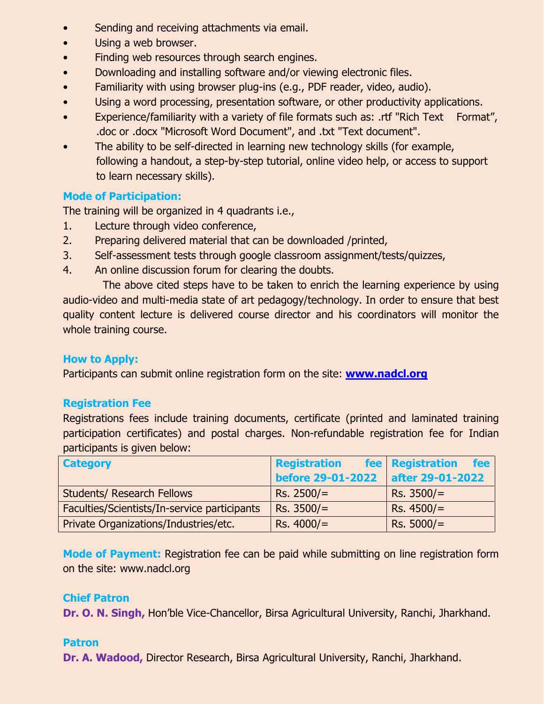- Sending and receiving attachments via email.
- Using a web browser.
- Finding web resources through search engines.
- Downloading and installing software and/or viewing electronic files.
- Familiarity with using browser plug-ins (e.g., PDF reader, video, audio).
- Using a word processing, presentation software, or other productivity applications.
- Experience/familiarity with a variety of file formats such as: .rtf "Rich Text Format", .doc or .docx "Microsoft Word Document", and .txt "Text document".
- The ability to be self-directed in learning new technology skills (for example, following a handout, a step-by-step tutorial, online video help, or access to support to learn necessary skills).

## **Mode of Participation:**

The training will be organized in 4 quadrants i.e.,

- 1. Lecture through video conference,
- 2. Preparing delivered material that can be downloaded /printed,
- 3. Self-assessment tests through google classroom assignment/tests/quizzes,
- 4. An online discussion forum for clearing the doubts.

 The above cited steps have to be taken to enrich the learning experience by using audio-video and multi-media state of art pedagogy/technology. In order to ensure that best quality content lecture is delivered course director and his coordinators will monitor the whole training course.

## **How to Apply:**

Participants can submit online registration form on the site: **[www.nadcl.org](http://www.nadcl.org/)**

## **Registration Fee**

Registrations fees include training documents, certificate (printed and laminated training participation certificates) and postal charges. Non-refundable registration fee for Indian participants is given below:

| <b>Category</b>                              | <b>Registration</b>      | fee <b>Registration</b><br><b>fee</b> |
|----------------------------------------------|--------------------------|---------------------------------------|
|                                              | <b>before 29-01-2022</b> | after 29-01-2022                      |
| <b>Students/ Research Fellows</b>            | $Rs. 2500/=$             | $Rs. 3500/=$                          |
| Faculties/Scientists/In-service participants | $Rs. 3500/=$             | RS. 4500/                             |
| Private Organizations/Industries/etc.        | Rs. 4000/                | $Rs. 5000/=$                          |

**Mode of Payment:** Registration fee can be paid while submitting on line registration form on the site: www.nadcl.org

## **Chief Patron**

**Dr. O. N. Singh,** Hon'ble Vice-Chancellor, Birsa Agricultural University, Ranchi, Jharkhand.

## **Patron**

**Dr. A. Wadood,** Director Research, Birsa Agricultural University, Ranchi, Jharkhand.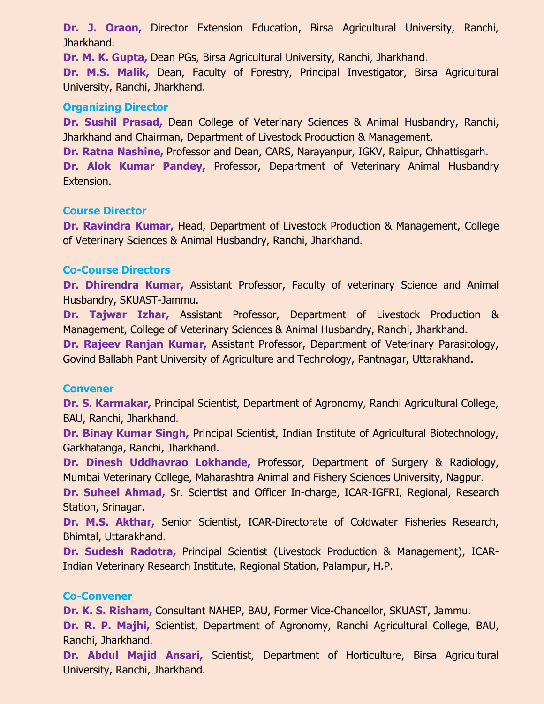**Dr. J. Oraon,** Director Extension Education, Birsa Agricultural University, Ranchi, Jharkhand.

**Dr. M. K. Gupta,** Dean PGs, Birsa Agricultural University, Ranchi, Jharkhand.

**Dr. M.S. Malik,** Dean, Faculty of Forestry, Principal Investigator, Birsa Agricultural University, Ranchi, Jharkhand.

### **Organizing Director**

**Dr. Sushil Prasad,** Dean College of Veterinary Sciences & Animal Husbandry, Ranchi, Jharkhand and Chairman, Department of Livestock Production & Management.

**Dr. Ratna Nashine,** Professor and Dean, CARS, Narayanpur, IGKV, Raipur, Chhattisgarh. **Dr. Alok Kumar Pandey,** Professor, Department of Veterinary Animal Husbandry Extension.

### **Course Director**

**Dr. Ravindra Kumar,** Head, Department of Livestock Production & Management, College of Veterinary Sciences & Animal Husbandry, Ranchi, Jharkhand.

### **Co-Course Directors**

**Dr. Dhirendra Kumar,** Assistant Professor, Faculty of veterinary Science and Animal Husbandry, SKUAST-Jammu.

**Dr. Tajwar Izhar,** Assistant Professor, Department of Livestock Production & Management, College of Veterinary Sciences & Animal Husbandry, Ranchi, Jharkhand.

**Dr. Rajeev Ranjan Kumar,** Assistant Professor, Department of Veterinary Parasitology, Govind Ballabh Pant University of Agriculture and Technology, Pantnagar, Uttarakhand.

#### **Convener**

**Dr. S. Karmakar,** Principal Scientist, Department of Agronomy, Ranchi Agricultural College, BAU, Ranchi, Jharkhand.

**Dr. Binay Kumar Singh,** Principal Scientist, Indian Institute of Agricultural Biotechnology, Garkhatanga, Ranchi, Jharkhand.

**Dr. Dinesh Uddhavrao Lokhande,** Professor, Department of Surgery & Radiology, Mumbai Veterinary College, Maharashtra Animal and Fishery Sciences University, Nagpur.

**Dr. Suheel Ahmad,** Sr. Scientist and Officer In-charge, ICAR-IGFRI, Regional, Research Station, Srinagar.

**Dr. M.S. Akthar,** Senior Scientist, ICAR-Directorate of Coldwater Fisheries Research, Bhimtal, Uttarakhand.

**Dr. Sudesh Radotra,** Principal Scientist (Livestock Production & Management), ICAR-Indian Veterinary Research Institute, Regional Station, Palampur, H.P.

### **Co-Convener**

**Dr. K. S. Risham,** Consultant NAHEP, BAU, Former Vice-Chancellor, SKUAST, Jammu.

**Dr. R. P. Majhi,** Scientist, Department of Agronomy, Ranchi Agricultural College, BAU, Ranchi, Jharkhand.

**Dr. Abdul Majid Ansari,** Scientist, Department of Horticulture, Birsa Agricultural University, Ranchi, Jharkhand.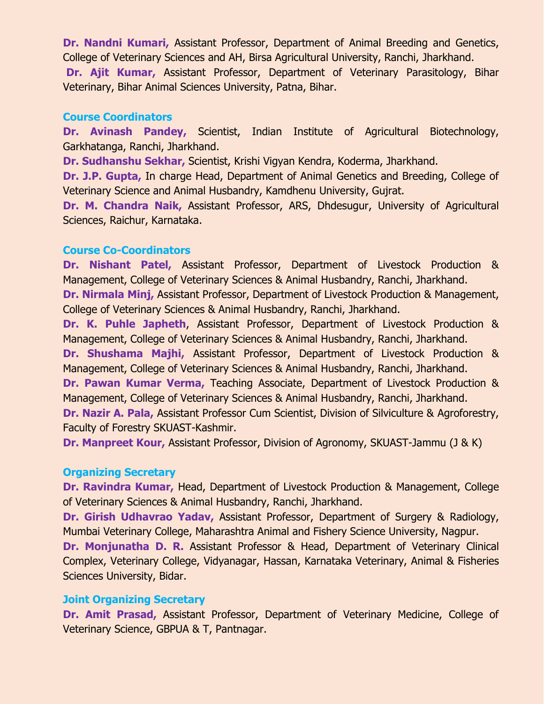**Dr. Nandni Kumari,** Assistant Professor, Department of Animal Breeding and Genetics, College of Veterinary Sciences and AH, Birsa Agricultural University, Ranchi, Jharkhand. **Dr. Ajit Kumar,** Assistant Professor, Department of Veterinary Parasitology, Bihar Veterinary, Bihar Animal Sciences University, Patna, Bihar.

#### **Course Coordinators**

**Dr. Avinash Pandey,** Scientist, Indian Institute of Agricultural Biotechnology, Garkhatanga, Ranchi, Jharkhand.

**Dr. Sudhanshu Sekhar,** Scientist, Krishi Vigyan Kendra, Koderma, Jharkhand.

**Dr. J.P. Gupta,** In charge Head, Department of Animal Genetics and Breeding, College of Veterinary Science and Animal Husbandry, Kamdhenu University, Gujrat.

**Dr. M. Chandra Naik,** Assistant Professor, ARS, Dhdesugur, University of Agricultural Sciences, Raichur, Karnataka.

#### **Course Co-Coordinators**

**Dr. Nishant Patel,** Assistant Professor, Department of Livestock Production & Management, College of Veterinary Sciences & Animal Husbandry, Ranchi, Jharkhand.

**Dr. Nirmala Minj,** Assistant Professor, Department of Livestock Production & Management, College of Veterinary Sciences & Animal Husbandry, Ranchi, Jharkhand.

**Dr. K. Puhle Japheth**, Assistant Professor, Department of Livestock Production & Management, College of Veterinary Sciences & Animal Husbandry, Ranchi, Jharkhand.

**Dr. Shushama Majhi,** Assistant Professor, Department of Livestock Production & Management, College of Veterinary Sciences & Animal Husbandry, Ranchi, Jharkhand.

**Dr. Pawan Kumar Verma,** Teaching Associate, Department of Livestock Production & Management, College of Veterinary Sciences & Animal Husbandry, Ranchi, Jharkhand.

**Dr. Nazir A. Pala,** Assistant Professor Cum Scientist, Division of Silviculture & Agroforestry, Faculty of Forestry SKUAST-Kashmir.

**Dr. Manpreet Kour,** Assistant Professor, Division of Agronomy, SKUAST-Jammu (J & K)

#### **Organizing Secretary**

**Dr. Ravindra Kumar,** Head, Department of Livestock Production & Management, College of Veterinary Sciences & Animal Husbandry, Ranchi, Jharkhand.

**Dr. Girish Udhavrao Yadav,** Assistant Professor, Department of Surgery & Radiology, Mumbai Veterinary College, Maharashtra Animal and Fishery Science University, Nagpur.

**Dr. Monjunatha D. R.** Assistant Professor & Head, Department of Veterinary Clinical Complex, Veterinary College, Vidyanagar, Hassan, Karnataka Veterinary, Animal & Fisheries Sciences University, Bidar.

### **Joint Organizing Secretary**

**Dr. Amit Prasad,** Assistant Professor, Department of Veterinary Medicine, College of Veterinary Science, GBPUA & T, Pantnagar.